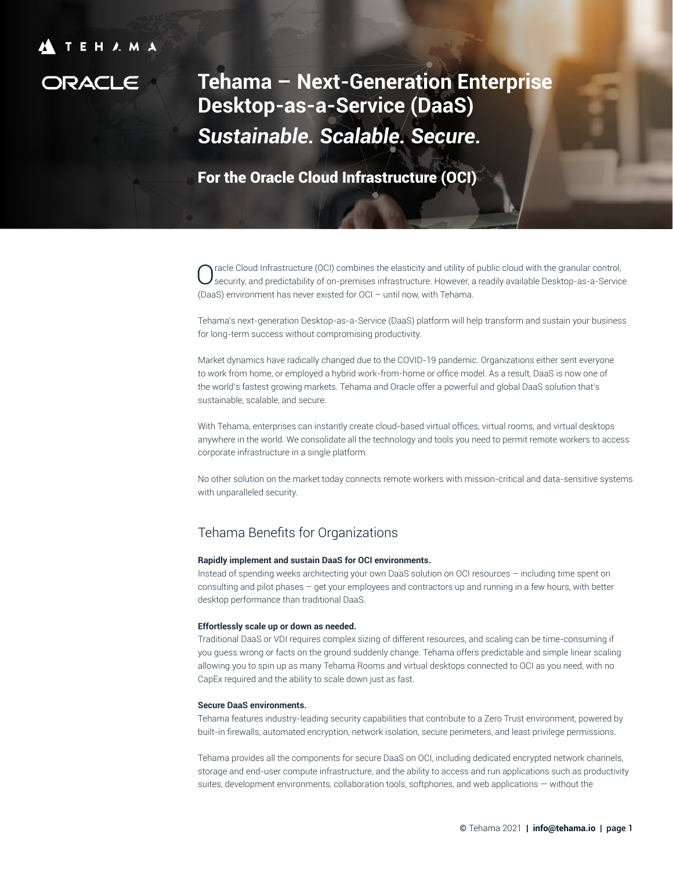## TEH AMA

# ORACLE

# **Tehama – Next-Generation Enterprise Desktop-as-a-Service (DaaS)**  *Sustainable. Scalable. Secure.*

For the Oracle Cloud Infrastructure (OCI)

Oracle Cloud Infrastructure (OCI) combines the elasticity and utility of public cloud with the granular control, security, and predictability of on-premises infrastructure. However, a readily available Desktop-as-a-Service (DaaS) environment has never existed for OCI – until now, with Tehama.

Tehama's next-generation Desktop-as-a-Service (DaaS) platform will help transform and sustain your business for long-term success without compromising productivity.

Market dynamics have radically changed due to the COVID-19 pandemic. Organizations either sent everyone to work from home, or employed a hybrid work-from-home or office model. As a result, DaaS is now one of the world's fastest growing markets. Tehama and Oracle offer a powerful and global DaaS solution that's sustainable, scalable, and secure.

With Tehama, enterprises can instantly create cloud-based virtual offices, virtual rooms, and virtual desktops anywhere in the world. We consolidate all the technology and tools you need to permit remote workers to access corporate infrastructure in a single platform.

No other solution on the market today connects remote workers with mission-critical and data-sensitive systems with unparalleled security.

## Tehama Benefits for Organizations

#### **Rapidly implement and sustain DaaS for OCI environments.**

Instead of spending weeks architecting your own DaaS solution on OCI resources – including time spent on consulting and pilot phases – get your employees and contractors up and running in a few hours, with better desktop performance than traditional DaaS.

#### **Effortlessly scale up or down as needed.**

Traditional DaaS or VDI requires complex sizing of different resources, and scaling can be time-consuming if you guess wrong or facts on the ground suddenly change. Tehama offers predictable and simple linear scaling allowing you to spin up as many Tehama Rooms and virtual desktops connected to OCI as you need, with no CapEx required and the ability to scale down just as fast.

#### **Secure DaaS environments.**

Tehama features industry-leading security capabilities that contribute to a Zero Trust environment, powered by built-in firewalls, automated encryption, network isolation, secure perimeters, and least privilege permissions.

Tehama provides all the components for secure DaaS on OCI, including dedicated encrypted network channels, storage and end-user compute infrastructure, and the ability to access and run applications such as productivity suites, development environments, collaboration tools, softphones, and web applications — without the